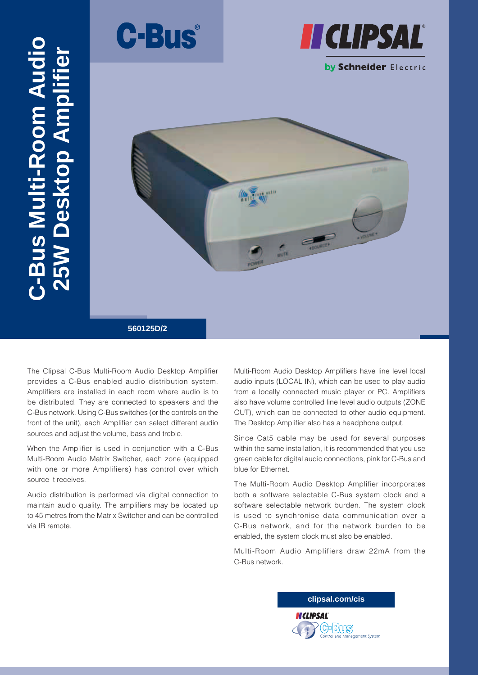



### by Schneider Electric



The Clipsal C-Bus Multi-Room Audio Desktop Amplifier provides a C-Bus enabled audio distribution system. Amplifiers are installed in each room where audio is to be distributed. They are connected to speakers and the C-Bus network. Using C-Bus switches (or the controls on the front of the unit), each Amplifier can select different audio sources and adjust the volume, bass and treble.

**C-Bus Multi-Room Audio** 

Bus Multi-Room Audi

**25W Desktop Amplifier**

TAS KT

op Amplit

When the Amplifier is used in conjunction with a C-Bus Multi-Room Audio Matrix Switcher, each zone (equipped with one or more Amplifiers) has control over which source it receives.

Audio distribution is performed via digital connection to maintain audio quality. The amplifiers may be located up to 45 metres from the Matrix Switcher and can be controlled via IR remote.

Multi-Room Audio Desktop Amplifiers have line level local audio inputs (LOCAL IN), which can be used to play audio from a locally connected music player or PC. Amplifiers also have volume controlled line level audio outputs (ZONE OUT), which can be connected to other audio equipment. The Desktop Amplifier also has a headphone output.

Since Cat5 cable may be used for several purposes within the same installation, it is recommended that you use green cable for digital audio connections, pink for C-Bus and blue for Ethernet.

The Multi-Room Audio Desktop Amplifier incorporates both a software selectable C-Bus system clock and a software selectable network burden. The system clock is used to synchronise data communication over a C-Bus network, and for the network burden to be enabled, the system clock must also be enabled.

Multi-Room Audio Amplifiers draw 22mA from the C-Bus network.